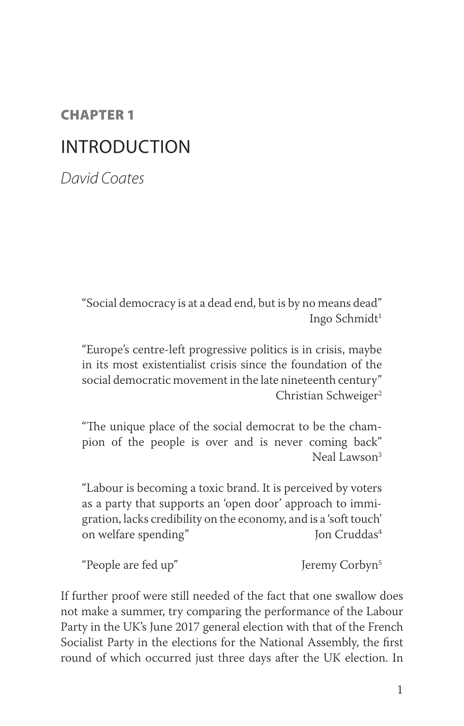## **CHAPTER 1 INTRODUCTION**

*David Coates*

"Social democracy is at a dead end, but is by no means dead" Ingo Schmidt<sup>1</sup>

"Europe's centre-left progressive politics is in crisis, maybe in its most existentialist crisis since the foundation of the social democratic movement in the late nineteenth century" Christian Schweiger<sup>2</sup>

"The unique place of the social democrat to be the champion of the people is over and is never coming back" Neal Lawson3

"Labour is becoming a toxic brand. It is perceived by voters as a party that supports an 'open door' approach to immigration, lacks credibility on the economy, and is a 'soft touch' on welfare spending" Jon Cruddas<sup>4</sup>

"People are fed up" Jeremy Corbyn5

If further proof were still needed of the fact that one swallow does not make a summer, try comparing the performance of the Labour Party in the UK's June 2017 general election with that of the French Socialist Party in the elections for the National Assembly, the first round of which occurred just three days after the UK election. In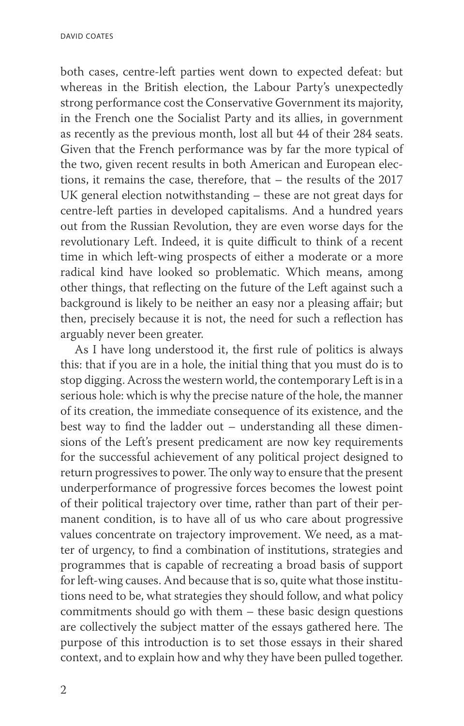both cases, centre-left parties went down to expected defeat: but whereas in the British election, the Labour Party's unexpectedly strong performance cost the Conservative Government its majority, in the French one the Socialist Party and its allies, in government as recently as the previous month, lost all but 44 of their 284 seats. Given that the French performance was by far the more typical of the two, given recent results in both American and European elections, it remains the case, therefore, that – the results of the 2017 UK general election notwithstanding – these are not great days for centre-left parties in developed capitalisms. And a hundred years out from the Russian Revolution, they are even worse days for the revolutionary Left. Indeed, it is quite difficult to think of a recent time in which left-wing prospects of either a moderate or a more radical kind have looked so problematic. Which means, among other things, that reflecting on the future of the Left against such a background is likely to be neither an easy nor a pleasing affair; but then, precisely because it is not, the need for such a reflection has arguably never been greater.

As I have long understood it, the first rule of politics is always this: that if you are in a hole, the initial thing that you must do is to stop digging. Across the western world, the contemporary Left is in a serious hole: which is why the precise nature of the hole, the manner of its creation, the immediate consequence of its existence, and the best way to find the ladder out – understanding all these dimensions of the Left's present predicament are now key requirements for the successful achievement of any political project designed to return progressives to power. The only way to ensure that the present underperformance of progressive forces becomes the lowest point of their political trajectory over time, rather than part of their permanent condition, is to have all of us who care about progressive values concentrate on trajectory improvement. We need, as a matter of urgency, to find a combination of institutions, strategies and programmes that is capable of recreating a broad basis of support for left-wing causes. And because that is so, quite what those institutions need to be, what strategies they should follow, and what policy commitments should go with them – these basic design questions are collectively the subject matter of the essays gathered here. The purpose of this introduction is to set those essays in their shared context, and to explain how and why they have been pulled together.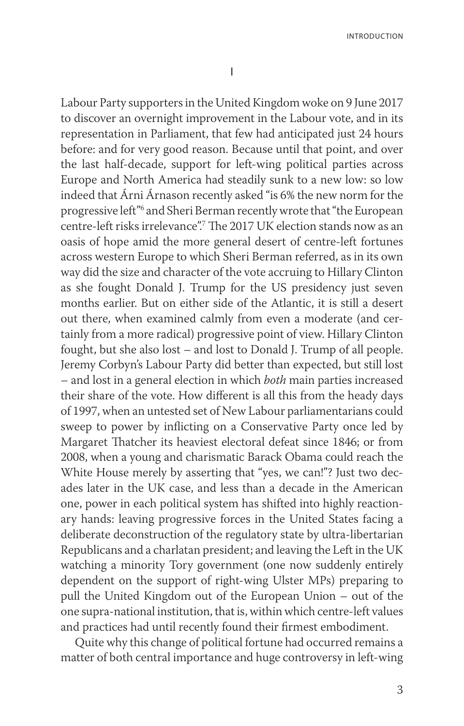Labour Party supporters in the United Kingdom woke on 9 June 2017 to discover an overnight improvement in the Labour vote, and in its representation in Parliament, that few had anticipated just 24 hours before: and for very good reason. Because until that point, and over the last half-decade, support for left-wing political parties across Europe and North America had steadily sunk to a new low: so low indeed that Árni Árnason recently asked "is 6% the new norm for the progressive left"6 and Sheri Berman recently wrote that "the European centre-left risks irrelevance".7 The 2017 UK election stands now as an oasis of hope amid the more general desert of centre-left fortunes across western Europe to which Sheri Berman referred, as in its own way did the size and character of the vote accruing to Hillary Clinton as she fought Donald J. Trump for the US presidency just seven months earlier. But on either side of the Atlantic, it is still a desert out there, when examined calmly from even a moderate (and certainly from a more radical) progressive point of view. Hillary Clinton fought, but she also lost – and lost to Donald J. Trump of all people. Jeremy Corbyn's Labour Party did better than expected, but still lost – and lost in a general election in which *both* main parties increased their share of the vote. How different is all this from the heady days of 1997, when an untested set of New Labour parliamentarians could sweep to power by inflicting on a Conservative Party once led by Margaret Thatcher its heaviest electoral defeat since 1846; or from 2008, when a young and charismatic Barack Obama could reach the White House merely by asserting that "yes, we can!"? Just two decades later in the UK case, and less than a decade in the American one, power in each political system has shifted into highly reactionary hands: leaving progressive forces in the United States facing a deliberate deconstruction of the regulatory state by ultra-libertarian Republicans and a charlatan president; and leaving the Left in the UK watching a minority Tory government (one now suddenly entirely dependent on the support of right-wing Ulster MPs) preparing to pull the United Kingdom out of the European Union – out of the one supra-national institution, that is, within which centre-left values and practices had until recently found their firmest embodiment.

Quite why this change of political fortune had occurred remains a matter of both central importance and huge controversy in left-wing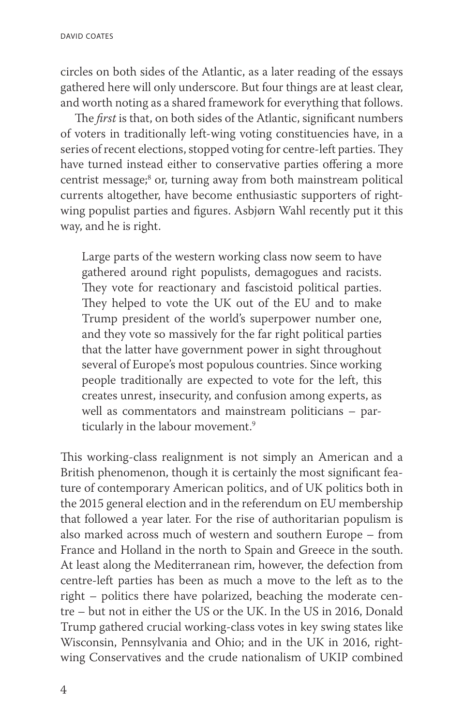circles on both sides of the Atlantic, as a later reading of the essays gathered here will only underscore. But four things are at least clear, and worth noting as a shared framework for everything that follows.

The *first* is that, on both sides of the Atlantic, significant numbers of voters in traditionally left-wing voting constituencies have, in a series of recent elections, stopped voting for centre-left parties. They have turned instead either to conservative parties offering a more centrist message;<sup>8</sup> or, turning away from both mainstream political currents altogether, have become enthusiastic supporters of rightwing populist parties and figures. Asbjørn Wahl recently put it this way, and he is right.

Large parts of the western working class now seem to have gathered around right populists, demagogues and racists. They vote for reactionary and fascistoid political parties. They helped to vote the UK out of the EU and to make Trump president of the world's superpower number one, and they vote so massively for the far right political parties that the latter have government power in sight throughout several of Europe's most populous countries. Since working people traditionally are expected to vote for the left, this creates unrest, insecurity, and confusion among experts, as well as commentators and mainstream politicians – particularly in the labour movement.9

This working-class realignment is not simply an American and a British phenomenon, though it is certainly the most significant feature of contemporary American politics, and of UK politics both in the 2015 general election and in the referendum on EU membership that followed a year later. For the rise of authoritarian populism is also marked across much of western and southern Europe – from France and Holland in the north to Spain and Greece in the south. At least along the Mediterranean rim, however, the defection from centre-left parties has been as much a move to the left as to the right – politics there have polarized, beaching the moderate centre – but not in either the US or the UK. In the US in 2016, Donald Trump gathered crucial working-class votes in key swing states like Wisconsin, Pennsylvania and Ohio; and in the UK in 2016, rightwing Conservatives and the crude nationalism of UKIP combined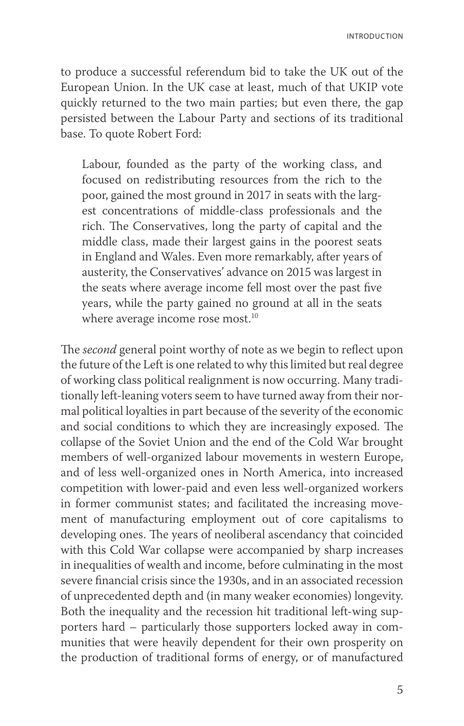to produce a successful referendum bid to take the UK out of the European Union. In the UK case at least, much of that UKIP vote quickly returned to the two main parties; but even there, the gap persisted between the Labour Party and sections of its traditional base. To quote Robert Ford:

Labour, founded as the party of the working class, and focused on redistributing resources from the rich to the poor, gained the most ground in 2017 in seats with the largest concentrations of middle-class professionals and the rich. The Conservatives, long the party of capital and the middle class, made their largest gains in the poorest seats in England and Wales. Even more remarkably, after years of austerity, the Conservatives' advance on 2015 was largest in the seats where average income fell most over the past five years, while the party gained no ground at all in the seats where average income rose most.<sup>10</sup>

The *second* general point worthy of note as we begin to reflect upon the future of the Left is one related to why this limited but real degree of working class political realignment is now occurring. Many traditionally left-leaning voters seem to have turned away from their normal political loyalties in part because of the severity of the economic and social conditions to which they are increasingly exposed. The collapse of the Soviet Union and the end of the Cold War brought members of well-organized labour movements in western Europe, and of less well-organized ones in North America, into increased competition with lower-paid and even less well-organized workers in former communist states; and facilitated the increasing movement of manufacturing employment out of core capitalisms to developing ones. The years of neoliberal ascendancy that coincided with this Cold War collapse were accompanied by sharp increases in inequalities of wealth and income, before culminating in the most severe financial crisis since the 1930s, and in an associated recession of unprecedented depth and (in many weaker economies) longevity. Both the inequality and the recession hit traditional left-wing supporters hard – particularly those supporters locked away in communities that were heavily dependent for their own prosperity on the production of traditional forms of energy, or of manufactured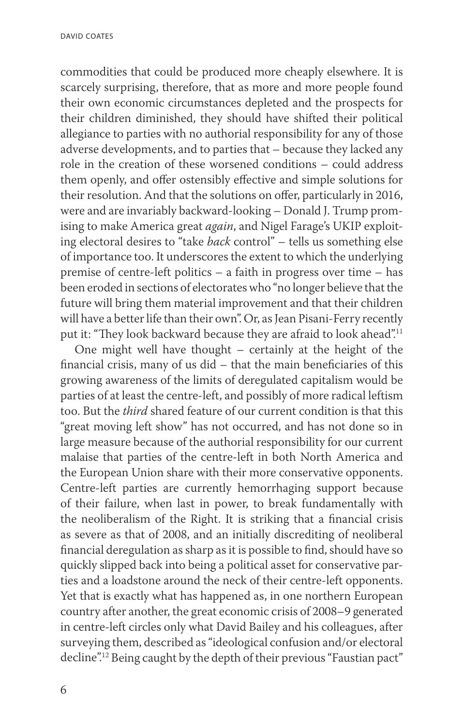commodities that could be produced more cheaply elsewhere. It is scarcely surprising, therefore, that as more and more people found their own economic circumstances depleted and the prospects for their children diminished, they should have shifted their political allegiance to parties with no authorial responsibility for any of those adverse developments, and to parties that – because they lacked any role in the creation of these worsened conditions – could address them openly, and offer ostensibly effective and simple solutions for their resolution. And that the solutions on offer, particularly in 2016, were and are invariably backward-looking – Donald J. Trump promising to make America great *again*, and Nigel Farage's UKIP exploiting electoral desires to "take *back* control" – tells us something else of importance too. It underscores the extent to which the underlying premise of centre-left politics – a faith in progress over time – has been eroded in sections of electorates who "no longer believe that the future will bring them material improvement and that their children will have a better life than their own". Or, as Jean Pisani-Ferry recently put it: "They look backward because they are afraid to look ahead".<sup>11</sup>

One might well have thought – certainly at the height of the financial crisis, many of us did – that the main beneficiaries of this growing awareness of the limits of deregulated capitalism would be parties of at least the centre-left, and possibly of more radical leftism too. But the *third* shared feature of our current condition is that this "great moving left show" has not occurred, and has not done so in large measure because of the authorial responsibility for our current malaise that parties of the centre-left in both North America and the European Union share with their more conservative opponents. Centre-left parties are currently hemorrhaging support because of their failure, when last in power, to break fundamentally with the neoliberalism of the Right. It is striking that a financial crisis as severe as that of 2008, and an initially discrediting of neoliberal financial deregulation as sharp as it is possible to find, should have so quickly slipped back into being a political asset for conservative parties and a loadstone around the neck of their centre-left opponents. Yet that is exactly what has happened as, in one northern European country after another, the great economic crisis of 2008–9 generated in centre-left circles only what David Bailey and his colleagues, after surveying them, described as "ideological confusion and/or electoral decline".12 Being caught by the depth of their previous "Faustian pact"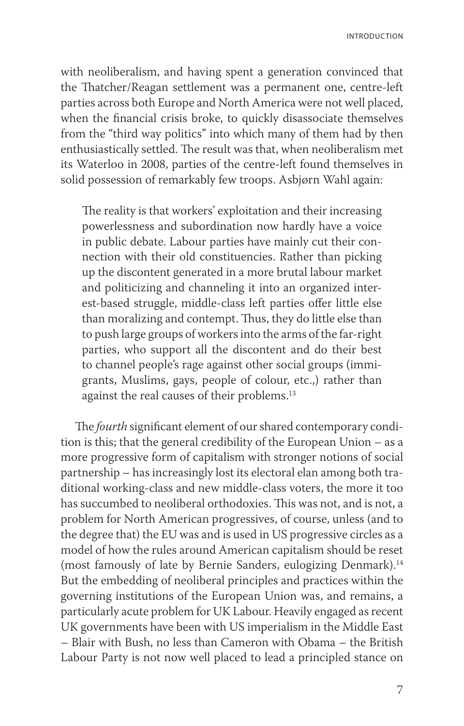with neoliberalism, and having spent a generation convinced that the Thatcher/Reagan settlement was a permanent one, centre-left parties across both Europe and North America were not well placed, when the financial crisis broke, to quickly disassociate themselves from the "third way politics" into which many of them had by then enthusiastically settled. The result was that, when neoliberalism met its Waterloo in 2008, parties of the centre-left found themselves in solid possession of remarkably few troops. Asbjørn Wahl again:

The reality is that workers' exploitation and their increasing powerlessness and subordination now hardly have a voice in public debate. Labour parties have mainly cut their connection with their old constituencies. Rather than picking up the discontent generated in a more brutal labour market and politicizing and channeling it into an organized interest-based struggle, middle-class left parties offer little else than moralizing and contempt. Thus, they do little else than to push large groups of workers into the arms of the far-right parties, who support all the discontent and do their best to channel people's rage against other social groups (immigrants, Muslims, gays, people of colour, etc.,) rather than against the real causes of their problems.<sup>13</sup>

The *fourth* significant element of our shared contemporary condition is this; that the general credibility of the European Union – as a more progressive form of capitalism with stronger notions of social partnership – has increasingly lost its electoral elan among both traditional working-class and new middle-class voters, the more it too has succumbed to neoliberal orthodoxies. This was not, and is not, a problem for North American progressives, of course, unless (and to the degree that) the EU was and is used in US progressive circles as a model of how the rules around American capitalism should be reset (most famously of late by Bernie Sanders, eulogizing Denmark).14 But the embedding of neoliberal principles and practices within the governing institutions of the European Union was, and remains, a particularly acute problem for UK Labour. Heavily engaged as recent UK governments have been with US imperialism in the Middle East – Blair with Bush, no less than Cameron with Obama – the British Labour Party is not now well placed to lead a principled stance on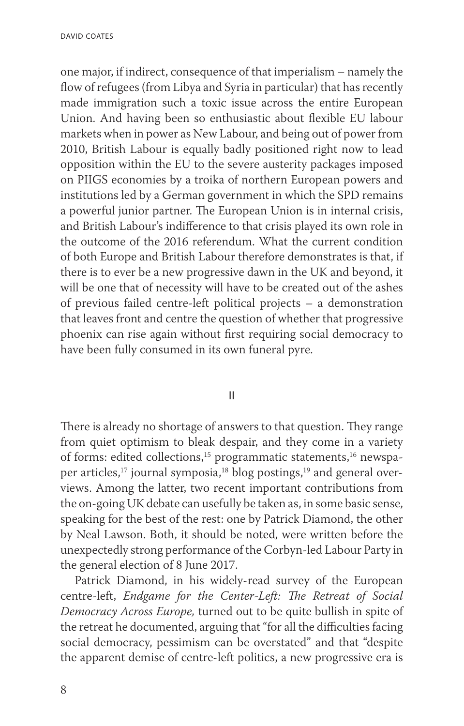one major, if indirect, consequence of that imperialism – namely the flow of refugees (from Libya and Syria in particular) that has recently made immigration such a toxic issue across the entire European Union. And having been so enthusiastic about flexible EU labour markets when in power as New Labour, and being out of power from 2010, British Labour is equally badly positioned right now to lead opposition within the EU to the severe austerity packages imposed on PIIGS economies by a troika of northern European powers and institutions led by a German government in which the SPD remains a powerful junior partner. The European Union is in internal crisis, and British Labour's indifference to that crisis played its own role in the outcome of the 2016 referendum. What the current condition of both Europe and British Labour therefore demonstrates is that, if there is to ever be a new progressive dawn in the UK and beyond, it will be one that of necessity will have to be created out of the ashes of previous failed centre-left political projects – a demonstration that leaves front and centre the question of whether that progressive phoenix can rise again without first requiring social democracy to have been fully consumed in its own funeral pyre.

II

There is already no shortage of answers to that question. They range from quiet optimism to bleak despair, and they come in a variety of forms: edited collections,<sup>15</sup> programmatic statements,<sup>16</sup> newspaper articles,<sup>17</sup> journal symposia,<sup>18</sup> blog postings,<sup>19</sup> and general overviews. Among the latter, two recent important contributions from the on-going UK debate can usefully be taken as, in some basic sense, speaking for the best of the rest: one by Patrick Diamond, the other by Neal Lawson. Both, it should be noted, were written before the unexpectedly strong performance of the Corbyn-led Labour Party in the general election of 8 June 2017.

Patrick Diamond, in his widely-read survey of the European centre-left, *Endgame for the Center-Left: The Retreat of Social Democracy Across Europe,* turned out to be quite bullish in spite of the retreat he documented, arguing that "for all the difficulties facing social democracy, pessimism can be overstated" and that "despite the apparent demise of centre-left politics, a new progressive era is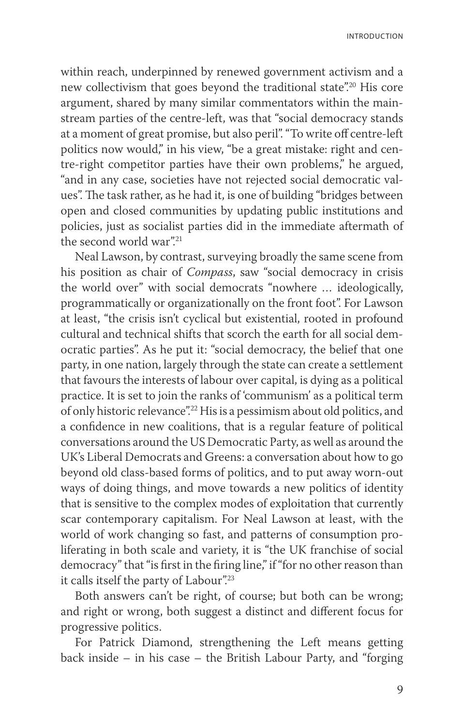within reach, underpinned by renewed government activism and a new collectivism that goes beyond the traditional state".<sup>20</sup> His core argument, shared by many similar commentators within the mainstream parties of the centre-left, was that "social democracy stands at a moment of great promise, but also peril". "To write off centre-left politics now would," in his view, "be a great mistake: right and centre-right competitor parties have their own problems," he argued, "and in any case, societies have not rejected social democratic values". The task rather, as he had it, is one of building "bridges between open and closed communities by updating public institutions and policies, just as socialist parties did in the immediate aftermath of the second world war".<sup>21</sup>

Neal Lawson, by contrast, surveying broadly the same scene from his position as chair of *Compass*, saw "social democracy in crisis the world over" with social democrats "nowhere … ideologically, programmatically or organizationally on the front foot". For Lawson at least, "the crisis isn't cyclical but existential, rooted in profound cultural and technical shifts that scorch the earth for all social democratic parties". As he put it: "social democracy, the belief that one party, in one nation, largely through the state can create a settlement that favours the interests of labour over capital, is dying as a political practice. It is set to join the ranks of 'communism' as a political term of only historic relevance".22 His is a pessimism about old politics, and a confidence in new coalitions, that is a regular feature of political conversations around the US Democratic Party, as well as around the UK's Liberal Democrats and Greens: a conversation about how to go beyond old class-based forms of politics, and to put away worn-out ways of doing things, and move towards a new politics of identity that is sensitive to the complex modes of exploitation that currently scar contemporary capitalism. For Neal Lawson at least, with the world of work changing so fast, and patterns of consumption proliferating in both scale and variety, it is "the UK franchise of social democracy" that "is first in the firing line," if "for no other reason than it calls itself the party of Labour".<sup>23</sup>

Both answers can't be right, of course; but both can be wrong; and right or wrong, both suggest a distinct and different focus for progressive politics.

For Patrick Diamond, strengthening the Left means getting back inside – in his case – the British Labour Party, and "forging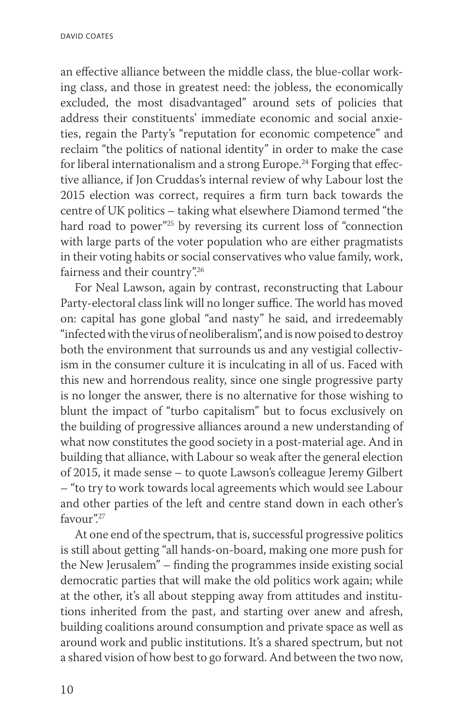an effective alliance between the middle class, the blue-collar working class, and those in greatest need: the jobless, the economically excluded, the most disadvantaged" around sets of policies that address their constituents' immediate economic and social anxieties, regain the Party's "reputation for economic competence" and reclaim "the politics of national identity" in order to make the case for liberal internationalism and a strong Europe.<sup>24</sup> Forging that effective alliance, if Jon Cruddas's internal review of why Labour lost the 2015 election was correct, requires a firm turn back towards the centre of UK politics – taking what elsewhere Diamond termed "the hard road to power"25 by reversing its current loss of "connection with large parts of the voter population who are either pragmatists in their voting habits or social conservatives who value family, work, fairness and their country".<sup>26</sup>

For Neal Lawson, again by contrast, reconstructing that Labour Party-electoral class link will no longer suffice. The world has moved on: capital has gone global "and nasty" he said, and irredeemably "infected with the virus of neoliberalism", and is now poised to destroy both the environment that surrounds us and any vestigial collectivism in the consumer culture it is inculcating in all of us. Faced with this new and horrendous reality, since one single progressive party is no longer the answer, there is no alternative for those wishing to blunt the impact of "turbo capitalism" but to focus exclusively on the building of progressive alliances around a new understanding of what now constitutes the good society in a post-material age. And in building that alliance, with Labour so weak after the general election of 2015, it made sense – to quote Lawson's colleague Jeremy Gilbert – "to try to work towards local agreements which would see Labour and other parties of the left and centre stand down in each other's  $fav$  $011r''<sup>27</sup>$ 

At one end of the spectrum, that is, successful progressive politics is still about getting "all hands-on-board, making one more push for the New Jerusalem" – finding the programmes inside existing social democratic parties that will make the old politics work again; while at the other, it's all about stepping away from attitudes and institutions inherited from the past, and starting over anew and afresh, building coalitions around consumption and private space as well as around work and public institutions. It's a shared spectrum, but not a shared vision of how best to go forward. And between the two now,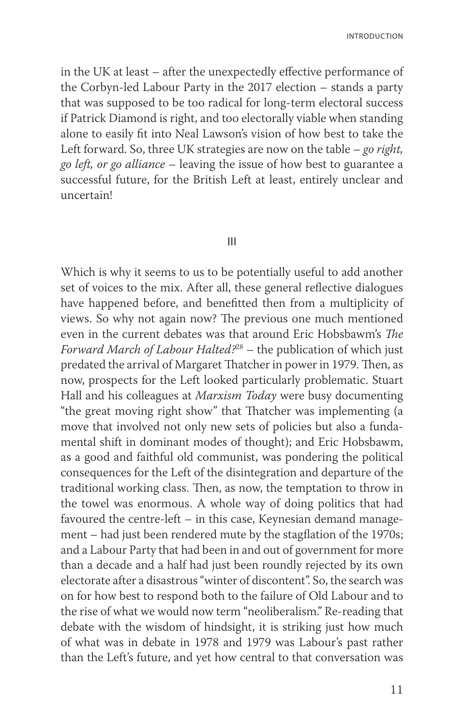in the UK at least – after the unexpectedly effective performance of the Corbyn-led Labour Party in the 2017 election – stands a party that was supposed to be too radical for long-term electoral success if Patrick Diamond is right, and too electorally viable when standing alone to easily fit into Neal Lawson's vision of how best to take the Left forward. So, three UK strategies are now on the table – *go right, go left, or go alliance* – leaving the issue of how best to guarantee a successful future, for the British Left at least, entirely unclear and uncertain!

## III

Which is why it seems to us to be potentially useful to add another set of voices to the mix. After all, these general reflective dialogues have happened before, and benefitted then from a multiplicity of views. So why not again now? The previous one much mentioned even in the current debates was that around Eric Hobsbawm's *The Forward March of Labour Halted?*28 – the publication of which just predated the arrival of Margaret Thatcher in power in 1979. Then, as now, prospects for the Left looked particularly problematic. Stuart Hall and his colleagues at *Marxism Today* were busy documenting "the great moving right show" that Thatcher was implementing (a move that involved not only new sets of policies but also a fundamental shift in dominant modes of thought); and Eric Hobsbawm, as a good and faithful old communist, was pondering the political consequences for the Left of the disintegration and departure of the traditional working class. Then, as now, the temptation to throw in the towel was enormous. A whole way of doing politics that had favoured the centre-left – in this case, Keynesian demand management – had just been rendered mute by the stagflation of the 1970s; and a Labour Party that had been in and out of government for more than a decade and a half had just been roundly rejected by its own electorate after a disastrous "winter of discontent". So, the search was on for how best to respond both to the failure of Old Labour and to the rise of what we would now term "neoliberalism." Re-reading that debate with the wisdom of hindsight, it is striking just how much of what was in debate in 1978 and 1979 was Labour's past rather than the Left's future, and yet how central to that conversation was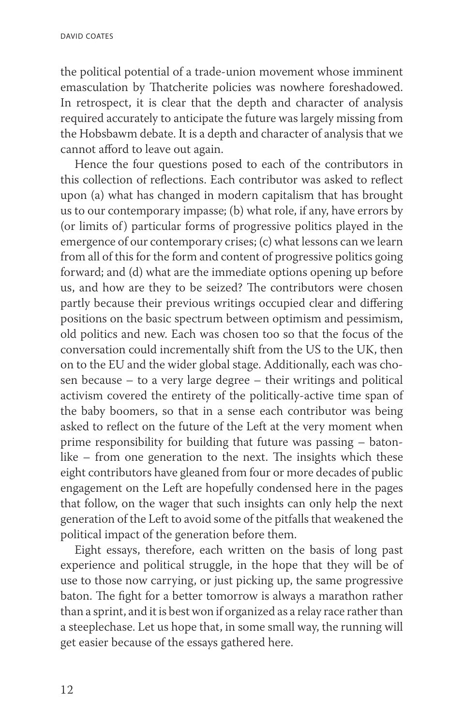the political potential of a trade-union movement whose imminent emasculation by Thatcherite policies was nowhere foreshadowed. In retrospect, it is clear that the depth and character of analysis required accurately to anticipate the future was largely missing from the Hobsbawm debate. It is a depth and character of analysis that we cannot afford to leave out again.

Hence the four questions posed to each of the contributors in this collection of reflections. Each contributor was asked to reflect upon (a) what has changed in modern capitalism that has brought us to our contemporary impasse; (b) what role, if any, have errors by (or limits of) particular forms of progressive politics played in the emergence of our contemporary crises; (c) what lessons can we learn from all of this for the form and content of progressive politics going forward; and (d) what are the immediate options opening up before us, and how are they to be seized? The contributors were chosen partly because their previous writings occupied clear and differing positions on the basic spectrum between optimism and pessimism, old politics and new. Each was chosen too so that the focus of the conversation could incrementally shift from the US to the UK, then on to the EU and the wider global stage. Additionally, each was chosen because – to a very large degree – their writings and political activism covered the entirety of the politically-active time span of the baby boomers, so that in a sense each contributor was being asked to reflect on the future of the Left at the very moment when prime responsibility for building that future was passing – batonlike – from one generation to the next. The insights which these eight contributors have gleaned from four or more decades of public engagement on the Left are hopefully condensed here in the pages that follow, on the wager that such insights can only help the next generation of the Left to avoid some of the pitfalls that weakened the political impact of the generation before them.

Eight essays, therefore, each written on the basis of long past experience and political struggle, in the hope that they will be of use to those now carrying, or just picking up, the same progressive baton. The fight for a better tomorrow is always a marathon rather than a sprint, and it is best won if organized as a relay race rather than a steeplechase. Let us hope that, in some small way, the running will get easier because of the essays gathered here.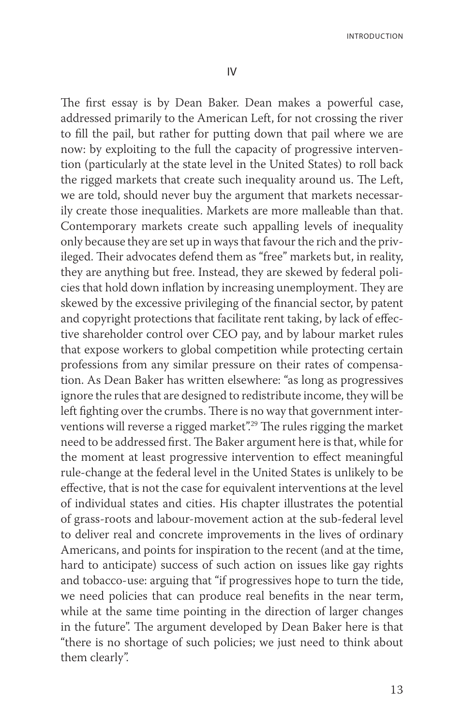The first essay is by Dean Baker. Dean makes a powerful case, addressed primarily to the American Left, for not crossing the river to fill the pail, but rather for putting down that pail where we are now: by exploiting to the full the capacity of progressive intervention (particularly at the state level in the United States) to roll back the rigged markets that create such inequality around us. The Left, we are told, should never buy the argument that markets necessarily create those inequalities. Markets are more malleable than that. Contemporary markets create such appalling levels of inequality only because they are set up in ways that favour the rich and the privileged. Their advocates defend them as "free" markets but, in reality, they are anything but free. Instead, they are skewed by federal policies that hold down inflation by increasing unemployment. They are skewed by the excessive privileging of the financial sector, by patent and copyright protections that facilitate rent taking, by lack of effective shareholder control over CEO pay, and by labour market rules that expose workers to global competition while protecting certain professions from any similar pressure on their rates of compensation. As Dean Baker has written elsewhere: "as long as progressives ignore the rules that are designed to redistribute income, they will be left fighting over the crumbs. There is no way that government interventions will reverse a rigged market".<sup>29</sup> The rules rigging the market need to be addressed first. The Baker argument here is that, while for the moment at least progressive intervention to effect meaningful rule-change at the federal level in the United States is unlikely to be effective, that is not the case for equivalent interventions at the level of individual states and cities. His chapter illustrates the potential of grass-roots and labour-movement action at the sub-federal level to deliver real and concrete improvements in the lives of ordinary Americans, and points for inspiration to the recent (and at the time, hard to anticipate) success of such action on issues like gay rights and tobacco-use: arguing that "if progressives hope to turn the tide, we need policies that can produce real benefits in the near term, while at the same time pointing in the direction of larger changes in the future". The argument developed by Dean Baker here is that "there is no shortage of such policies; we just need to think about them clearly".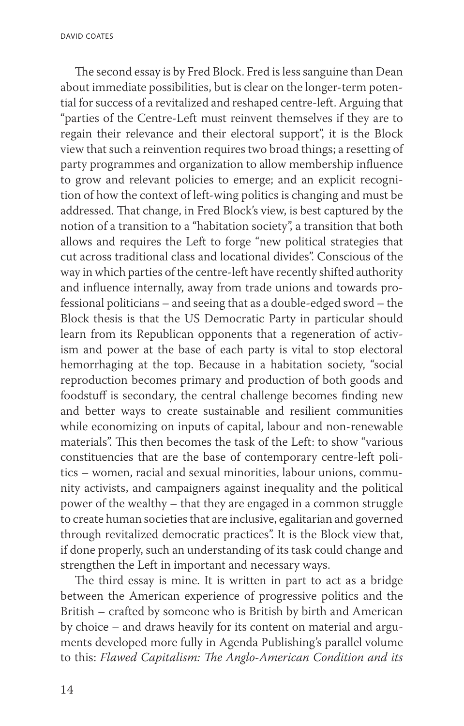The second essay is by Fred Block. Fred is less sanguine than Dean about immediate possibilities, but is clear on the longer-term potential for success of a revitalized and reshaped centre-left. Arguing that "parties of the Centre-Left must reinvent themselves if they are to regain their relevance and their electoral support", it is the Block view that such a reinvention requires two broad things; a resetting of party programmes and organization to allow membership influence to grow and relevant policies to emerge; and an explicit recognition of how the context of left-wing politics is changing and must be addressed. That change, in Fred Block's view, is best captured by the notion of a transition to a "habitation society", a transition that both allows and requires the Left to forge "new political strategies that cut across traditional class and locational divides". Conscious of the way in which parties of the centre-left have recently shifted authority and influence internally, away from trade unions and towards professional politicians – and seeing that as a double-edged sword – the Block thesis is that the US Democratic Party in particular should learn from its Republican opponents that a regeneration of activism and power at the base of each party is vital to stop electoral hemorrhaging at the top. Because in a habitation society, "social reproduction becomes primary and production of both goods and foodstuff is secondary, the central challenge becomes finding new and better ways to create sustainable and resilient communities while economizing on inputs of capital, labour and non-renewable materials". This then becomes the task of the Left: to show "various constituencies that are the base of contemporary centre-left politics – women, racial and sexual minorities, labour unions, community activists, and campaigners against inequality and the political power of the wealthy – that they are engaged in a common struggle to create human societies that are inclusive, egalitarian and governed through revitalized democratic practices". It is the Block view that, if done properly, such an understanding of its task could change and strengthen the Left in important and necessary ways.

The third essay is mine. It is written in part to act as a bridge between the American experience of progressive politics and the British – crafted by someone who is British by birth and American by choice – and draws heavily for its content on material and arguments developed more fully in Agenda Publishing's parallel volume to this: *Flawed Capitalism: The Anglo-American Condition and its*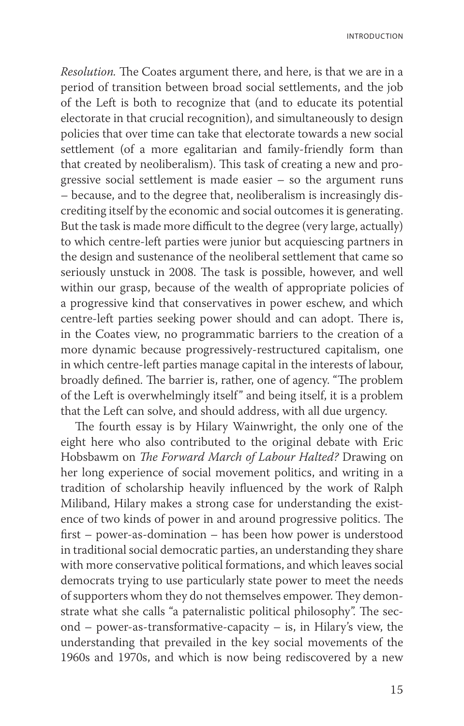*Resolution.* The Coates argument there, and here, is that we are in a period of transition between broad social settlements, and the job of the Left is both to recognize that (and to educate its potential electorate in that crucial recognition), and simultaneously to design policies that over time can take that electorate towards a new social settlement (of a more egalitarian and family-friendly form than that created by neoliberalism). This task of creating a new and progressive social settlement is made easier – so the argument runs – because, and to the degree that, neoliberalism is increasingly discrediting itself by the economic and social outcomes it is generating. But the task is made more difficult to the degree (very large, actually) to which centre-left parties were junior but acquiescing partners in the design and sustenance of the neoliberal settlement that came so seriously unstuck in 2008. The task is possible, however, and well within our grasp, because of the wealth of appropriate policies of a progressive kind that conservatives in power eschew, and which centre-left parties seeking power should and can adopt. There is, in the Coates view, no programmatic barriers to the creation of a more dynamic because progressively-restructured capitalism, one in which centre-left parties manage capital in the interests of labour, broadly defined. The barrier is, rather, one of agency. "The problem of the Left is overwhelmingly itself" and being itself, it is a problem that the Left can solve, and should address, with all due urgency.

The fourth essay is by Hilary Wainwright, the only one of the eight here who also contributed to the original debate with Eric Hobsbawm on *The Forward March of Labour Halted?* Drawing on her long experience of social movement politics, and writing in a tradition of scholarship heavily influenced by the work of Ralph Miliband, Hilary makes a strong case for understanding the existence of two kinds of power in and around progressive politics. The first – power-as-domination – has been how power is understood in traditional social democratic parties, an understanding they share with more conservative political formations, and which leaves social democrats trying to use particularly state power to meet the needs of supporters whom they do not themselves empower. They demonstrate what she calls "a paternalistic political philosophy". The second – power-as-transformative-capacity – is, in Hilary's view, the understanding that prevailed in the key social movements of the 1960s and 1970s, and which is now being rediscovered by a new

15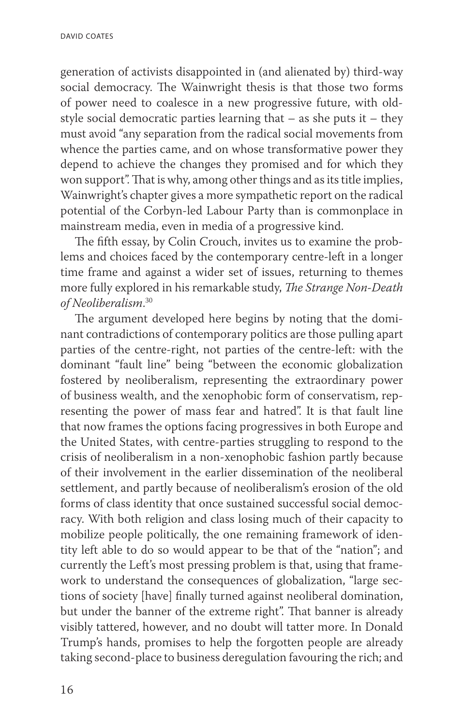generation of activists disappointed in (and alienated by) third-way social democracy. The Wainwright thesis is that those two forms of power need to coalesce in a new progressive future, with oldstyle social democratic parties learning that  $-$  as she puts it  $-$  they must avoid "any separation from the radical social movements from whence the parties came, and on whose transformative power they depend to achieve the changes they promised and for which they won support". That is why, among other things and as its title implies, Wainwright's chapter gives a more sympathetic report on the radical potential of the Corbyn-led Labour Party than is commonplace in mainstream media, even in media of a progressive kind.

The fifth essay, by Colin Crouch, invites us to examine the problems and choices faced by the contemporary centre-left in a longer time frame and against a wider set of issues, returning to themes more fully explored in his remarkable study, *The Strange Non-Death of Neoliberalism*. 30

The argument developed here begins by noting that the dominant contradictions of contemporary politics are those pulling apart parties of the centre-right, not parties of the centre-left: with the dominant "fault line" being "between the economic globalization fostered by neoliberalism, representing the extraordinary power of business wealth, and the xenophobic form of conservatism, representing the power of mass fear and hatred". It is that fault line that now frames the options facing progressives in both Europe and the United States, with centre-parties struggling to respond to the crisis of neoliberalism in a non-xenophobic fashion partly because of their involvement in the earlier dissemination of the neoliberal settlement, and partly because of neoliberalism's erosion of the old forms of class identity that once sustained successful social democracy. With both religion and class losing much of their capacity to mobilize people politically, the one remaining framework of identity left able to do so would appear to be that of the "nation"; and currently the Left's most pressing problem is that, using that framework to understand the consequences of globalization, "large sections of society [have] finally turned against neoliberal domination, but under the banner of the extreme right". That banner is already visibly tattered, however, and no doubt will tatter more. In Donald Trump's hands, promises to help the forgotten people are already taking second-place to business deregulation favouring the rich; and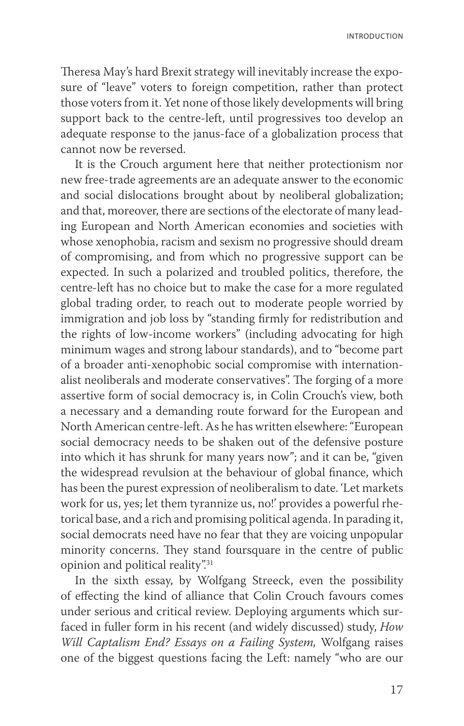Theresa May's hard Brexit strategy will inevitably increase the exposure of "leave" voters to foreign competition, rather than protect those voters from it. Yet none of those likely developments will bring support back to the centre-left, until progressives too develop an adequate response to the janus-face of a globalization process that cannot now be reversed.

It is the Crouch argument here that neither protectionism nor new free-trade agreements are an adequate answer to the economic and social dislocations brought about by neoliberal globalization; and that, moreover, there are sections of the electorate of many leading European and North American economies and societies with whose xenophobia, racism and sexism no progressive should dream of compromising, and from which no progressive support can be expected. In such a polarized and troubled politics, therefore, the centre-left has no choice but to make the case for a more regulated global trading order, to reach out to moderate people worried by immigration and job loss by "standing firmly for redistribution and the rights of low-income workers" (including advocating for high minimum wages and strong labour standards), and to "become part of a broader anti-xenophobic social compromise with internationalist neoliberals and moderate conservatives". The forging of a more assertive form of social democracy is, in Colin Crouch's view, both a necessary and a demanding route forward for the European and North American centre-left. As he has written elsewhere: "European social democracy needs to be shaken out of the defensive posture into which it has shrunk for many years now"; and it can be, "given the widespread revulsion at the behaviour of global finance, which has been the purest expression of neoliberalism to date. 'Let markets work for us, yes; let them tyrannize us, no!' provides a powerful rhetorical base, and a rich and promising political agenda. In parading it, social democrats need have no fear that they are voicing unpopular minority concerns. They stand foursquare in the centre of public opinion and political reality".<sup>31</sup>

In the sixth essay, by Wolfgang Streeck, even the possibility of effecting the kind of alliance that Colin Crouch favours comes under serious and critical review. Deploying arguments which surfaced in fuller form in his recent (and widely discussed) study, *How Will Captalism End? Essays on a Failing System,* Wolfgang raises one of the biggest questions facing the Left: namely "who are our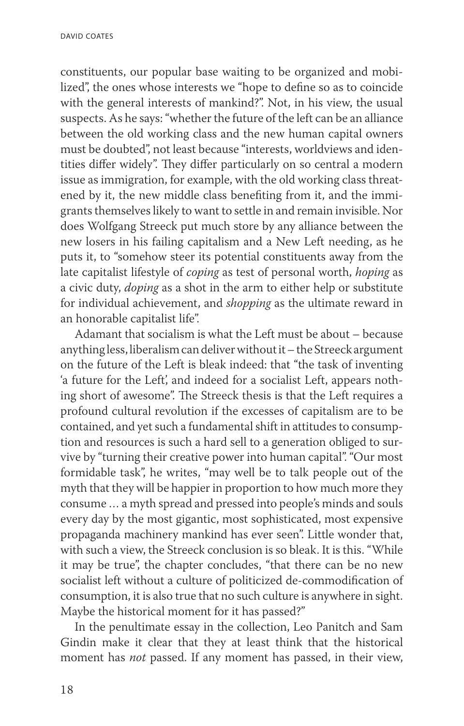constituents, our popular base waiting to be organized and mobilized", the ones whose interests we "hope to define so as to coincide with the general interests of mankind?". Not, in his view, the usual suspects. As he says: "whether the future of the left can be an alliance between the old working class and the new human capital owners must be doubted", not least because "interests, worldviews and identities differ widely". They differ particularly on so central a modern issue as immigration, for example, with the old working class threatened by it, the new middle class benefiting from it, and the immigrants themselves likely to want to settle in and remain invisible. Nor does Wolfgang Streeck put much store by any alliance between the new losers in his failing capitalism and a New Left needing, as he puts it, to "somehow steer its potential constituents away from the late capitalist lifestyle of *coping* as test of personal worth, *hoping* as a civic duty, *doping* as a shot in the arm to either help or substitute for individual achievement, and *shopping* as the ultimate reward in an honorable capitalist life".

Adamant that socialism is what the Left must be about – because anything less, liberalism can deliver without it – the Streeck argument on the future of the Left is bleak indeed: that "the task of inventing 'a future for the Left', and indeed for a socialist Left, appears nothing short of awesome". The Streeck thesis is that the Left requires a profound cultural revolution if the excesses of capitalism are to be contained, and yet such a fundamental shift in attitudes to consumption and resources is such a hard sell to a generation obliged to survive by "turning their creative power into human capital". "Our most formidable task", he writes, "may well be to talk people out of the myth that they will be happier in proportion to how much more they consume … a myth spread and pressed into people's minds and souls every day by the most gigantic, most sophisticated, most expensive propaganda machinery mankind has ever seen". Little wonder that, with such a view, the Streeck conclusion is so bleak. It is this. "While it may be true", the chapter concludes, "that there can be no new socialist left without a culture of politicized de-commodification of consumption, it is also true that no such culture is anywhere in sight. Maybe the historical moment for it has passed?"

In the penultimate essay in the collection, Leo Panitch and Sam Gindin make it clear that they at least think that the historical moment has *not* passed. If any moment has passed, in their view,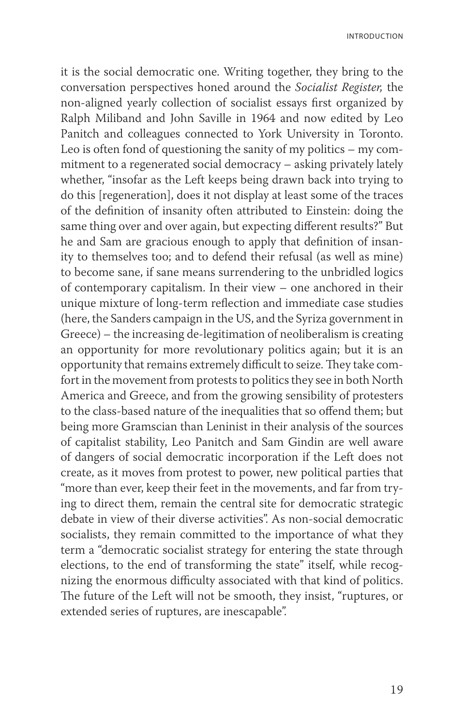it is the social democratic one. Writing together, they bring to the conversation perspectives honed around the *Socialist Register,* the non-aligned yearly collection of socialist essays first organized by Ralph Miliband and John Saville in 1964 and now edited by Leo Panitch and colleagues connected to York University in Toronto. Leo is often fond of questioning the sanity of my politics – my commitment to a regenerated social democracy – asking privately lately whether, "insofar as the Left keeps being drawn back into trying to do this [regeneration], does it not display at least some of the traces of the definition of insanity often attributed to Einstein: doing the same thing over and over again, but expecting different results?" But he and Sam are gracious enough to apply that definition of insanity to themselves too; and to defend their refusal (as well as mine) to become sane, if sane means surrendering to the unbridled logics of contemporary capitalism. In their view – one anchored in their unique mixture of long-term reflection and immediate case studies (here, the Sanders campaign in the US, and the Syriza government in Greece) – the increasing de-legitimation of neoliberalism is creating an opportunity for more revolutionary politics again; but it is an opportunity that remains extremely difficult to seize. They take comfort in the movement from protests to politics they see in both North America and Greece, and from the growing sensibility of protesters to the class-based nature of the inequalities that so offend them; but being more Gramscian than Leninist in their analysis of the sources of capitalist stability, Leo Panitch and Sam Gindin are well aware of dangers of social democratic incorporation if the Left does not create, as it moves from protest to power, new political parties that "more than ever, keep their feet in the movements, and far from trying to direct them, remain the central site for democratic strategic debate in view of their diverse activities". As non-social democratic socialists, they remain committed to the importance of what they term a "democratic socialist strategy for entering the state through elections, to the end of transforming the state" itself, while recognizing the enormous difficulty associated with that kind of politics. The future of the Left will not be smooth, they insist, "ruptures, or extended series of ruptures, are inescapable".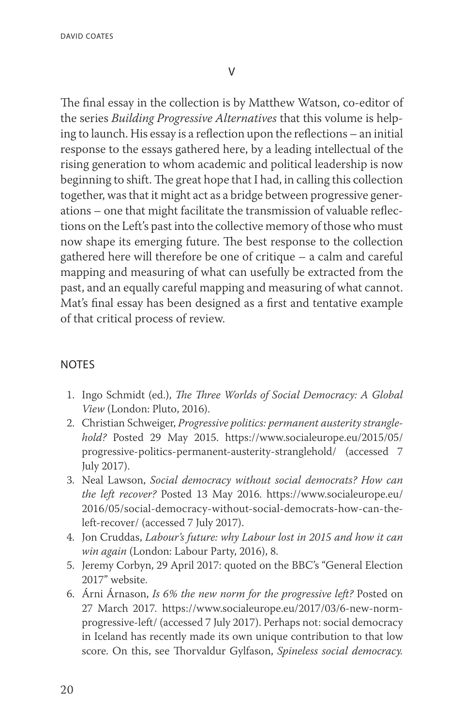The final essay in the collection is by Matthew Watson, co-editor of the series *Building Progressive Alternatives* that this volume is helping to launch. His essay is a reflection upon the reflections – an initial response to the essays gathered here, by a leading intellectual of the rising generation to whom academic and political leadership is now beginning to shift. The great hope that I had, in calling this collection together, was that it might act as a bridge between progressive generations – one that might facilitate the transmission of valuable reflections on the Left's past into the collective memory of those who must now shape its emerging future. The best response to the collection gathered here will therefore be one of critique – a calm and careful mapping and measuring of what can usefully be extracted from the past, and an equally careful mapping and measuring of what cannot. Mat's final essay has been designed as a first and tentative example of that critical process of review.

## **NOTES**

- 1. Ingo Schmidt (ed.), *The Three Worlds of Social Democracy: A Global View* (London: Pluto, 2016).
- 2. Christian Schweiger, *Progressive politics: permanent austerity stranglehold?* Posted 29 May 2015. https://www.socialeurope.eu/2015/05/ progressive-politics-permanent-austerity-stranglehold/ (accessed 7 July 2017).
- 3. Neal Lawson, *Social democracy without social democrats? How can the left recover?* Posted 13 May 2016. https://www.socialeurope.eu/ 2016/05/social-democracy-without-social-democrats-how-can-theleft-recover/ (accessed 7 July 2017).
- 4. Jon Cruddas, *Labour's future: why Labour lost in 2015 and how it can win again* (London: Labour Party, 2016), 8.
- 5. Jeremy Corbyn, 29 April 2017: quoted on the BBC's "General Election 2017" website.
- 6. Árni Árnason, *Is 6% the new norm for the progressive left?* Posted on 27 March 2017*.* https://www.socialeurope.eu/2017/03/6-new-normprogressive-left/ (accessed 7 July 2017). Perhaps not: social democracy in Iceland has recently made its own unique contribution to that low score. On this, see Thorvaldur Gylfason, *Spineless social democracy.*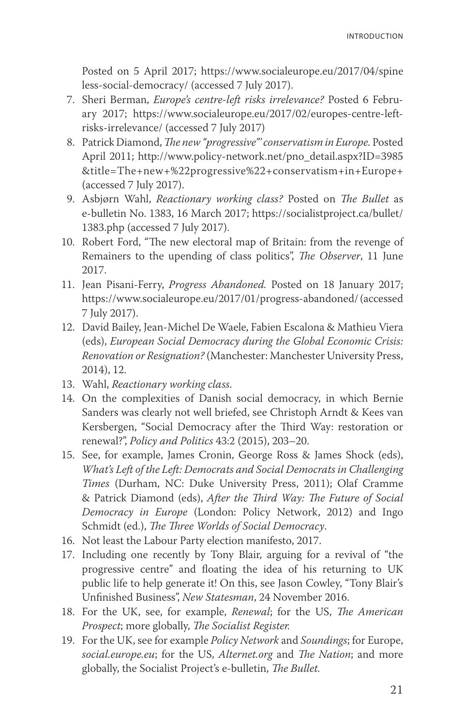Posted on 5 April 2017; https://www.socialeurope.eu/2017/04/spine less-social-democracy/ (accessed 7 July 2017).

- 7. Sheri Berman, *Europe's centre-left risks irrelevance?* Posted 6 February 2017; https://www.socialeurope.eu/2017/02/europes-centre-leftrisks-irrelevance/ (accessed 7 July 2017)
- 8. Patrick Diamond, *The new "progressive"' conservatism in Europe.* Posted April 2011; http://www.policy-network.net/pno\_detail.aspx?ID=3985 &title=The+new+%22progressive%22+conservatism+in+Europe+ (accessed 7 July 2017).
- 9. Asbjørn Wahl, *Reactionary working class?* Posted on *The Bullet* as e-bulletin No. 1383, 16 March 2017; https://socialistproject.ca/bullet/ 1383.php (accessed 7 July 2017).
- 10. Robert Ford, "The new electoral map of Britain: from the revenge of Remainers to the upending of class politics", *The Observer*, 11 June 2017.
- 11. Jean Pisani-Ferry, *Progress Abandoned.* Posted on 18 January 2017; https://www.socialeurope.eu/2017/01/progress-abandoned/ (accessed 7 July 2017).
- 12. David Bailey, Jean-Michel De Waele, Fabien Escalona & Mathieu Viera (eds), *European Social Democracy during the Global Economic Crisis: Renovation or Resignation?* (Manchester: Manchester University Press, 2014), 12.
- 13. Wahl, *Reactionary working class*.
- 14. On the complexities of Danish social democracy, in which Bernie Sanders was clearly not well briefed, see Christoph Arndt & Kees van Kersbergen, "Social Democracy after the Third Way: restoration or renewal?", *Policy and Politics* 43:2 (2015), 203–20.
- 15. See, for example, James Cronin, George Ross & James Shock (eds), *What's Left of the Left: Democrats and Social Democrats in Challenging Times* (Durham, NC: Duke University Press, 2011); Olaf Cramme & Patrick Diamond (eds), *After the Third Way: The Future of Social Democracy in Europe* (London: Policy Network, 2012) and Ingo Schmidt (ed.), *The Three Worlds of Social Democracy*.
- 16. Not least the Labour Party election manifesto, 2017.
- 17. Including one recently by Tony Blair, arguing for a revival of "the progressive centre" and floating the idea of his returning to UK public life to help generate it! On this, see Jason Cowley, "Tony Blair's Unfinished Business", *New Statesman*, 24 November 2016.
- 18. For the UK, see, for example, *Renewal*; for the US, *The American Prospect*; more globally, *The Socialist Register.*
- 19. For the UK, see for example *Policy Network* and *Soundings*; for Europe, *social.europe.eu*; for the US, *Alternet.org* and *The Nation*; and more globally, the Socialist Project's e-bulletin, *The Bullet.*